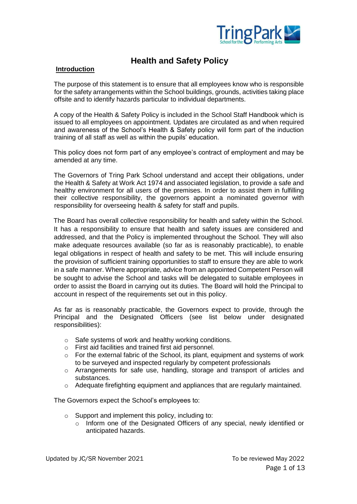

# **Health and Safety Policy**

## **Introduction**

The purpose of this statement is to ensure that all employees know who is responsible for the safety arrangements within the School buildings, grounds, activities taking place offsite and to identify hazards particular to individual departments.

A copy of the Health & Safety Policy is included in the School Staff Handbook which is issued to all employees on appointment. Updates are circulated as and when required and awareness of the School's Health & Safety policy will form part of the induction training of all staff as well as within the pupils' education.

This policy does not form part of any employee's contract of employment and may be amended at any time.

The Governors of Tring Park School understand and accept their obligations, under the Health & Safety at Work Act 1974 and associated legislation, to provide a safe and healthy environment for all users of the premises. In order to assist them in fulfilling their collective responsibility, the governors appoint a nominated governor with responsibility for overseeing health & safety for staff and pupils.

The Board has overall collective responsibility for health and safety within the School. It has a responsibility to ensure that health and safety issues are considered and addressed, and that the Policy is implemented throughout the School. They will also make adequate resources available (so far as is reasonably practicable), to enable legal obligations in respect of health and safety to be met. This will include ensuring the provision of sufficient training opportunities to staff to ensure they are able to work in a safe manner. Where appropriate, advice from an appointed Competent Person will be sought to advise the School and tasks will be delegated to suitable employees in order to assist the Board in carrying out its duties. The Board will hold the Principal to account in respect of the requirements set out in this policy.

As far as is reasonably practicable, the Governors expect to provide, through the Principal and the Designated Officers (see list below under designated responsibilities):

- o Safe systems of work and healthy working conditions.
- o First aid facilities and trained first aid personnel.
- o For the external fabric of the School, its plant, equipment and systems of work to be surveyed and inspected regularly by competent professionals
- $\circ$  Arrangements for safe use, handling, storage and transport of articles and substances.
- $\circ$  Adequate firefighting equipment and appliances that are regularly maintained.

The Governors expect the School's employees to:

- o Support and implement this policy, including to:
	- $\circ$  Inform one of the Designated Officers of any special, newly identified or anticipated hazards.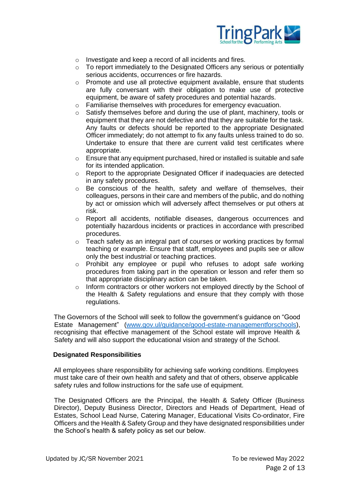

- o Investigate and keep a record of all incidents and fires.
- $\circ$  To report immediately to the Designated Officers any serious or potentially serious accidents, occurrences or fire hazards.
- $\circ$  Promote and use all protective equipment available, ensure that students are fully conversant with their obligation to make use of protective equipment, be aware of safety procedures and potential hazards.
- o Familiarise themselves with procedures for emergency evacuation.
- $\circ$  Satisfy themselves before and during the use of plant, machinery, tools or equipment that they are not defective and that they are suitable for the task. Any faults or defects should be reported to the appropriate Designated Officer immediately; do not attempt to fix any faults unless trained to do so. Undertake to ensure that there are current valid test certificates where appropriate.
- $\circ$  Ensure that any equipment purchased, hired or installed is suitable and safe for its intended application.
- o Report to the appropriate Designated Officer if inadequacies are detected in any safety procedures.
- o Be conscious of the health, safety and welfare of themselves, their colleagues, persons in their care and members of the public, and do nothing by act or omission which will adversely affect themselves or put others at risk.
- o Report all accidents, notifiable diseases, dangerous occurrences and potentially hazardous incidents or practices in accordance with prescribed procedures.
- $\circ$  Teach safety as an integral part of courses or working practices by formal teaching or example. Ensure that staff, employees and pupils see or allow only the best industrial or teaching practices.
- o Prohibit any employee or pupil who refuses to adopt safe working procedures from taking part in the operation or lesson and refer them so that appropriate disciplinary action can be taken.
- o Inform contractors or other workers not employed directly by the School of the Health & Safety regulations and ensure that they comply with those regulations.

The Governors of the School will seek to follow the government's guidance on "Good Estate Management" [\(www.gov.ul/guidance/good-estate-managementforschools\)](https://www.gov.uk/guidance/good-estate-management-for-schools), recognising that effective management of the School estate will improve Health & Safety and will also support the educational vision and strategy of the School.

## **Designated Responsibilities**

All employees share responsibility for achieving safe working conditions. Employees must take care of their own health and safety and that of others, observe applicable safety rules and follow instructions for the safe use of equipment.

The Designated Officers are the Principal, the Health & Safety Officer (Business Director), Deputy Business Director, Directors and Heads of Department, Head of Estates, School Lead Nurse, Catering Manager, Educational Visits Co-ordinator, Fire Officers and the Health & Safety Group and they have designated responsibilities under the School's health & safety policy as set our below.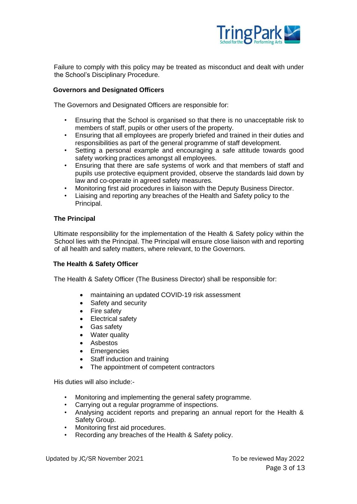

Failure to comply with this policy may be treated as misconduct and dealt with under the School's Disciplinary Procedure.

## **Governors and Designated Officers**

The Governors and Designated Officers are responsible for:

- Ensuring that the School is organised so that there is no unacceptable risk to members of staff, pupils or other users of the property.
- Ensuring that all employees are properly briefed and trained in their duties and responsibilities as part of the general programme of staff development.
- Setting a personal example and encouraging a safe attitude towards good safety working practices amongst all employees.
- Ensuring that there are safe systems of work and that members of staff and pupils use protective equipment provided, observe the standards laid down by law and co-operate in agreed safety measures.
- Monitoring first aid procedures in liaison with the Deputy Business Director.
- Liaising and reporting any breaches of the Health and Safety policy to the Principal.

## **The Principal**

Ultimate responsibility for the implementation of the Health & Safety policy within the School lies with the Principal. The Principal will ensure close liaison with and reporting of all health and safety matters, where relevant, to the Governors.

# **The Health & Safety Officer**

The Health & Safety Officer (The Business Director) shall be responsible for:

- maintaining an updated COVID-19 risk assessment
- Safety and security
- Fire safety
- Electrical safety
- Gas safety
- Water quality
- Asbestos
- Emergencies
- Staff induction and training
- The appointment of competent contractors

His duties will also include:-

- Monitoring and implementing the general safety programme.
- Carrying out a regular programme of inspections.
- Analysing accident reports and preparing an annual report for the Health & Safety Group.
- Monitoring first aid procedures.
- Recording any breaches of the Health & Safety policy.

Updated by JC/SR November 2021 To be reviewed May 2022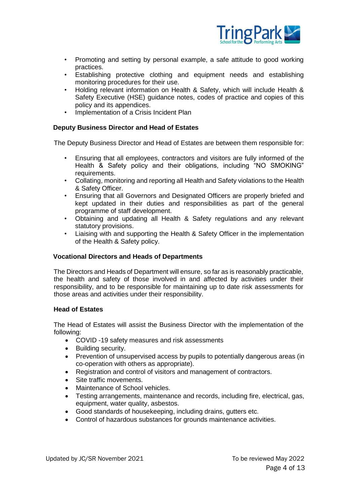

- Promoting and setting by personal example, a safe attitude to good working practices.
- Establishing protective clothing and equipment needs and establishing monitoring procedures for their use.
- Holding relevant information on Health & Safety, which will include Health & Safety Executive (HSE) guidance notes, codes of practice and copies of this policy and its appendices.
- Implementation of a Crisis Incident Plan

## **Deputy Business Director and Head of Estates**

The Deputy Business Director and Head of Estates are between them responsible for:

- Ensuring that all employees, contractors and visitors are fully informed of the Health & Safety policy and their obligations, including "NO SMOKING" requirements.
- Collating, monitoring and reporting all Health and Safety violations to the Health & Safety Officer.
- Ensuring that all Governors and Designated Officers are properly briefed and kept updated in their duties and responsibilities as part of the general programme of staff development.
- Obtaining and updating all Health & Safety regulations and any relevant statutory provisions.
- Liaising with and supporting the Health & Safety Officer in the implementation of the Health & Safety policy.

## **Vocational Directors and Heads of Departments**

The Directors and Heads of Department will ensure, so far as is reasonably practicable, the health and safety of those involved in and affected by activities under their responsibility, and to be responsible for maintaining up to date risk assessments for those areas and activities under their responsibility.

## **Head of Estates**

The Head of Estates will assist the Business Director with the implementation of the following:

- COVID -19 safety measures and risk assessments
- Building security.
- Prevention of unsupervised access by pupils to potentially dangerous areas (in co-operation with others as appropriate).
- Registration and control of visitors and management of contractors.
- Site traffic movements.
- Maintenance of School vehicles.
- Testing arrangements, maintenance and records, including fire, electrical, gas, equipment, water quality, asbestos.
- Good standards of housekeeping, including drains, gutters etc.
- Control of hazardous substances for grounds maintenance activities.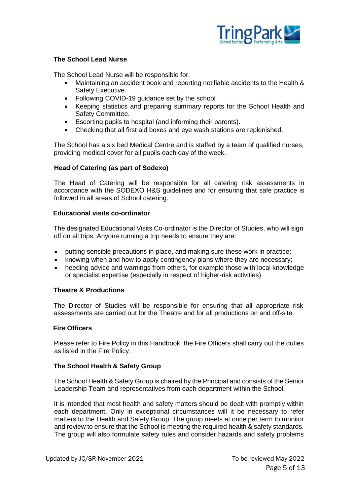

# **The School Lead Nurse**

The School Lead Nurse will be responsible for:

- Maintaining an accident book and reporting notifiable accidents to the Health & Safety Executive.
- Following COVID-19 guidance set by the school
- Keeping statistics and preparing summary reports for the School Health and Safety Committee.
- Escorting pupils to hospital (and informing their parents).
- Checking that all first aid boxes and eye wash stations are replenished.

The School has a six bed Medical Centre and is staffed by a team of qualified nurses, providing medical cover for all pupils each day of the week.

## **Head of Catering (as part of Sodexo)**

The Head of Catering will be responsible for all catering risk assessments in accordance with the SODEXO H&S guidelines and for ensuring that safe practice is followed in all areas of School catering.

## **Educational visits co-ordinator**

The designated Educational Visits Co-ordinator is the Director of Studies, who will sign off on all trips. Anyone running a trip needs to ensure they are:

- putting sensible precautions in place, and making sure these work in practice;
- knowing when and how to apply contingency plans where they are necessary;
- heeding advice and warnings from others, for example those with local knowledge or specialist expertise (especially in respect of higher-risk activities)

# **Theatre & Productions**

The Director of Studies will be responsible for ensuring that all appropriate risk assessments are carried out for the Theatre and for all productions on and off-site.

## **Fire Officers**

Please refer to Fire Policy in this Handbook: the Fire Officers shall carry out the duties as listed in the Fire Policy.

# **The School Health & Safety Group**

The School Health & Safety Group is chaired by the Principal and consists of the Senior Leadership Team and representatives from each department within the School.

It is intended that most health and safety matters should be dealt with promptly within each department. Only in exceptional circumstances will it be necessary to refer matters to the Health and Safety Group. The group meets at once per term to monitor and review to ensure that the School is meeting the required health & safety standards. The group will also formulate safety rules and consider hazards and safety problems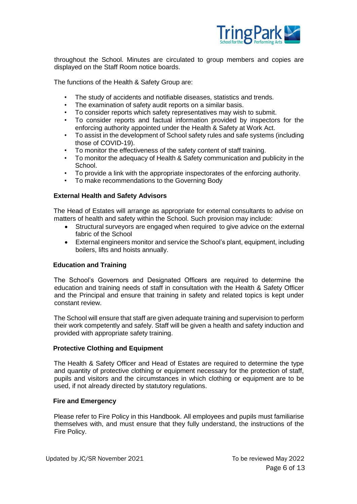

throughout the School. Minutes are circulated to group members and copies are displayed on the Staff Room notice boards.

The functions of the Health & Safety Group are:

- The study of accidents and notifiable diseases, statistics and trends.
- The examination of safety audit reports on a similar basis.
- To consider reports which safety representatives may wish to submit.
- To consider reports and factual information provided by inspectors for the enforcing authority appointed under the Health & Safety at Work Act.
- To assist in the development of School safety rules and safe systems (including those of COVID-19).
- To monitor the effectiveness of the safety content of staff training.
- To monitor the adequacy of Health & Safety communication and publicity in the School.
- To provide a link with the appropriate inspectorates of the enforcing authority.
- To make recommendations to the Governing Body

## **External Health and Safety Advisors**

The Head of Estates will arrange as appropriate for external consultants to advise on matters of health and safety within the School. Such provision may include:

- Structural surveyors are engaged when required to give advice on the external fabric of the School
- External engineers monitor and service the School's plant, equipment, including boilers, lifts and hoists annually.

# **Education and Training**

The School's Governors and Designated Officers are required to determine the education and training needs of staff in consultation with the Health & Safety Officer and the Principal and ensure that training in safety and related topics is kept under constant review.

The School will ensure that staff are given adequate training and supervision to perform their work competently and safely. Staff will be given a health and safety induction and provided with appropriate safety training.

## **Protective Clothing and Equipment**

The Health & Safety Officer and Head of Estates are required to determine the type and quantity of protective clothing or equipment necessary for the protection of staff, pupils and visitors and the circumstances in which clothing or equipment are to be used, if not already directed by statutory regulations.

## **Fire and Emergency**

Please refer to Fire Policy in this Handbook. All employees and pupils must familiarise themselves with, and must ensure that they fully understand, the instructions of the Fire Policy.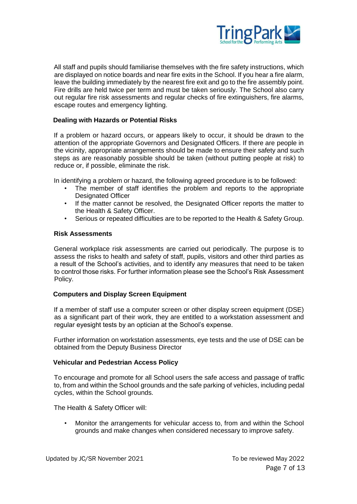

All staff and pupils should familiarise themselves with the fire safety instructions, which are displayed on notice boards and near fire exits in the School. If you hear a fire alarm, leave the building immediately by the nearest fire exit and go to the fire assembly point. Fire drills are held twice per term and must be taken seriously. The School also carry out regular fire risk assessments and regular checks of fire extinguishers, fire alarms, escape routes and emergency lighting.

## **Dealing with Hazards or Potential Risks**

If a problem or hazard occurs, or appears likely to occur, it should be drawn to the attention of the appropriate Governors and Designated Officers. If there are people in the vicinity, appropriate arrangements should be made to ensure their safety and such steps as are reasonably possible should be taken (without putting people at risk) to reduce or, if possible, eliminate the risk.

In identifying a problem or hazard, the following agreed procedure is to be followed:

- The member of staff identifies the problem and reports to the appropriate Designated Officer
- If the matter cannot be resolved, the Designated Officer reports the matter to the Health & Safety Officer.
- Serious or repeated difficulties are to be reported to the Health & Safety Group.

## **Risk Assessments**

General workplace risk assessments are carried out periodically. The purpose is to assess the risks to health and safety of staff, pupils, visitors and other third parties as a result of the School's activities, and to identify any measures that need to be taken to control those risks. For further information please see the School's Risk Assessment Policy.

## **Computers and Display Screen Equipment**

If a member of staff use a computer screen or other display screen equipment (DSE) as a significant part of their work, they are entitled to a workstation assessment and regular eyesight tests by an optician at the School's expense.

Further information on workstation assessments, eye tests and the use of DSE can be obtained from the Deputy Business Director

## **Vehicular and Pedestrian Access Policy**

To encourage and promote for all School users the safe access and passage of traffic to, from and within the School grounds and the safe parking of vehicles, including pedal cycles, within the School grounds.

The Health & Safety Officer will:

• Monitor the arrangements for vehicular access to, from and within the School grounds and make changes when considered necessary to improve safety.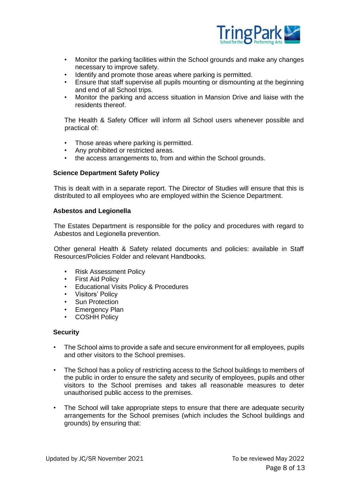

- Monitor the parking facilities within the School grounds and make any changes necessary to improve safety.
- Identify and promote those areas where parking is permitted.<br>• Fosure that staff supervise all pupils mounting or dismounting
- Ensure that staff supervise all pupils mounting or dismounting at the beginning and end of all School trips.
- Monitor the parking and access situation in Mansion Drive and liaise with the residents thereof.

The Health & Safety Officer will inform all School users whenever possible and practical of:

- Those areas where parking is permitted.
- Any prohibited or restricted areas.
- the access arrangements to, from and within the School grounds.

## **Science Department Safety Policy**

This is dealt with in a separate report. The Director of Studies will ensure that this is distributed to all employees who are employed within the Science Department.

## **Asbestos and Legionella**

The Estates Department is responsible for the policy and procedures with regard to Asbestos and Legionella prevention.

Other general Health & Safety related documents and policies: available in Staff Resources/Policies Folder and relevant Handbooks.

- Risk Assessment Policy
- First Aid Policy
- Educational Visits Policy & Procedures
- Visitors' Policy
- Sun Protection
- Emergency Plan
- COSHH Policy

## **Security**

- The School aims to provide a safe and secure environment for all employees, pupils and other visitors to the School premises.
- The School has a policy of restricting access to the School buildings to members of the public in order to ensure the safety and security of employees, pupils and other visitors to the School premises and takes all reasonable measures to deter unauthorised public access to the premises.
- The School will take appropriate steps to ensure that there are adequate security arrangements for the School premises (which includes the School buildings and grounds) by ensuring that: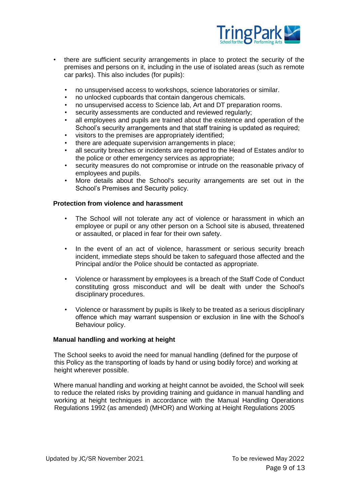

- there are sufficient security arrangements in place to protect the security of the premises and persons on it, including in the use of isolated areas (such as remote car parks). This also includes (for pupils):
	- no unsupervised access to workshops, science laboratories or similar.
	- no unlocked cupboards that contain dangerous chemicals.
	- no unsupervised access to Science lab, Art and DT preparation rooms.
	- security assessments are conducted and reviewed regularly;
	- all employees and pupils are trained about the existence and operation of the School's security arrangements and that staff training is updated as required;
	- visitors to the premises are appropriately identified;
	- there are adequate supervision arrangements in place;
	- all security breaches or incidents are reported to the Head of Estates and/or to the police or other emergency services as appropriate;
	- security measures do not compromise or intrude on the reasonable privacy of employees and pupils.
	- More details about the School's security arrangements are set out in the School's Premises and Security policy.

## **Protection from violence and harassment**

- The School will not tolerate any act of violence or harassment in which an employee or pupil or any other person on a School site is abused, threatened or assaulted, or placed in fear for their own safety.
- In the event of an act of violence, harassment or serious security breach incident, immediate steps should be taken to safeguard those affected and the Principal and/or the Police should be contacted as appropriate.
- Violence or harassment by employees is a breach of the Staff Code of Conduct constituting gross misconduct and will be dealt with under the School's disciplinary procedures.
- Violence or harassment by pupils is likely to be treated as a serious disciplinary offence which may warrant suspension or exclusion in line with the School's Behaviour policy.

## **Manual handling and working at height**

The School seeks to avoid the need for manual handling (defined for the purpose of this Policy as the transporting of loads by hand or using bodily force) and working at height wherever possible.

Where manual handling and working at height cannot be avoided, the School will seek to reduce the related risks by providing training and guidance in manual handling and working at height techniques in accordance with the Manual Handling Operations Regulations 1992 (as amended) (MHOR) and Working at Height Regulations 2005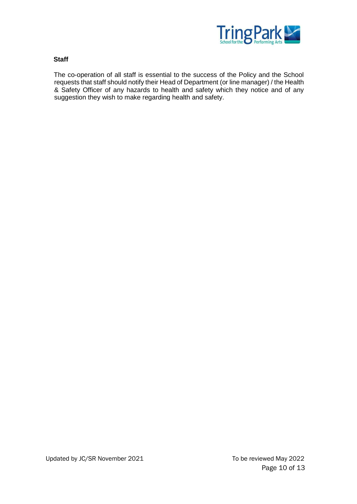

## **Staff**

The co-operation of all staff is essential to the success of the Policy and the School requests that staff should notify their Head of Department (or line manager) / the Health & Safety Officer of any hazards to health and safety which they notice and of any suggestion they wish to make regarding health and safety.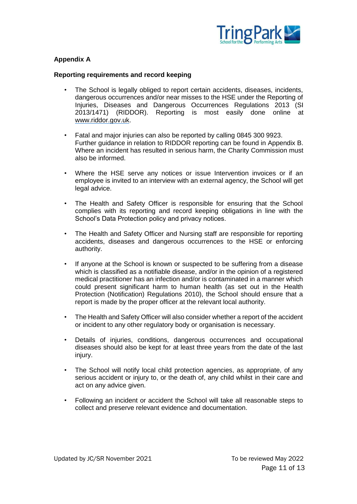

# **Appendix A**

## **Reporting requirements and record keeping**

- The School is legally obliged to report certain accidents, diseases, incidents, dangerous occurrences and/or near misses to the HSE under the Reporting of Injuries, Diseases and Dangerous Occurrences Regulations 2013 (SI 2013/1471) (RIDDOR). Reporting is most easily done online at [www.riddor.gov.uk.](http://www.riddor.gov.uk/)
- Fatal and major injuries can also be reported by calling 0845 300 9923. Further guidance in relation to RIDDOR reporting can be found in Appendix B. Where an incident has resulted in serious harm, the Charity Commission must also be informed.
- Where the HSE serve any notices or issue Intervention invoices or if an employee is invited to an interview with an external agency, the School will get legal advice.
- The Health and Safety Officer is responsible for ensuring that the School complies with its reporting and record keeping obligations in line with the School's Data Protection policy and privacy notices.
- The Health and Safety Officer and Nursing staff are responsible for reporting accidents, diseases and dangerous occurrences to the HSE or enforcing authority.
- If anyone at the School is known or suspected to be suffering from a disease which is classified as a notifiable disease, and/or in the opinion of a registered medical practitioner has an infection and/or is contaminated in a manner which could present significant harm to human health (as set out in the Health Protection (Notification) Regulations 2010), the School should ensure that a report is made by the proper officer at the relevant local authority.
- The Health and Safety Officer will also consider whether a report of the accident or incident to any other regulatory body or organisation is necessary.
- Details of injuries, conditions, dangerous occurrences and occupational diseases should also be kept for at least three years from the date of the last injury.
- The School will notify local child protection agencies, as appropriate, of any serious accident or injury to, or the death of, any child whilst in their care and act on any advice given.
- Following an incident or accident the School will take all reasonable steps to collect and preserve relevant evidence and documentation.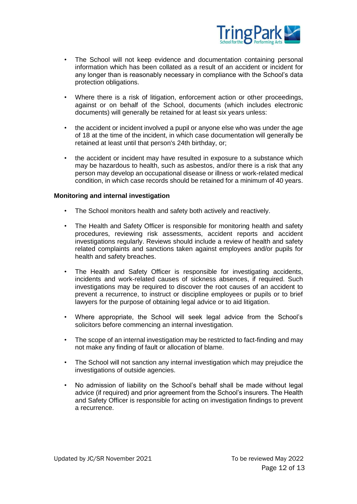

- The School will not keep evidence and documentation containing personal information which has been collated as a result of an accident or incident for any longer than is reasonably necessary in compliance with the School's data protection obligations.
- Where there is a risk of litigation, enforcement action or other proceedings, against or on behalf of the School, documents (which includes electronic documents) will generally be retained for at least six years unless:
- the accident or incident involved a pupil or anyone else who was under the age of 18 at the time of the incident, in which case documentation will generally be retained at least until that person's 24th birthday, or;
- the accident or incident may have resulted in exposure to a substance which may be hazardous to health, such as asbestos, and/or there is a risk that any person may develop an occupational disease or illness or work-related medical condition, in which case records should be retained for a minimum of 40 years.

#### **Monitoring and internal investigation**

- The School monitors health and safety both actively and reactively.
- The Health and Safety Officer is responsible for monitoring health and safety procedures, reviewing risk assessments, accident reports and accident investigations regularly. Reviews should include a review of health and safety related complaints and sanctions taken against employees and/or pupils for health and safety breaches.
- The Health and Safety Officer is responsible for investigating accidents, incidents and work-related causes of sickness absences, if required. Such investigations may be required to discover the root causes of an accident to prevent a recurrence, to instruct or discipline employees or pupils or to brief lawyers for the purpose of obtaining legal advice or to aid litigation.
- Where appropriate, the School will seek legal advice from the School's solicitors before commencing an internal investigation.
- The scope of an internal investigation may be restricted to fact-finding and may not make any finding of fault or allocation of blame.
- The School will not sanction any internal investigation which may prejudice the investigations of outside agencies.
- No admission of liability on the School's behalf shall be made without legal advice (if required) and prior agreement from the School's insurers. The Health and Safety Officer is responsible for acting on investigation findings to prevent a recurrence.